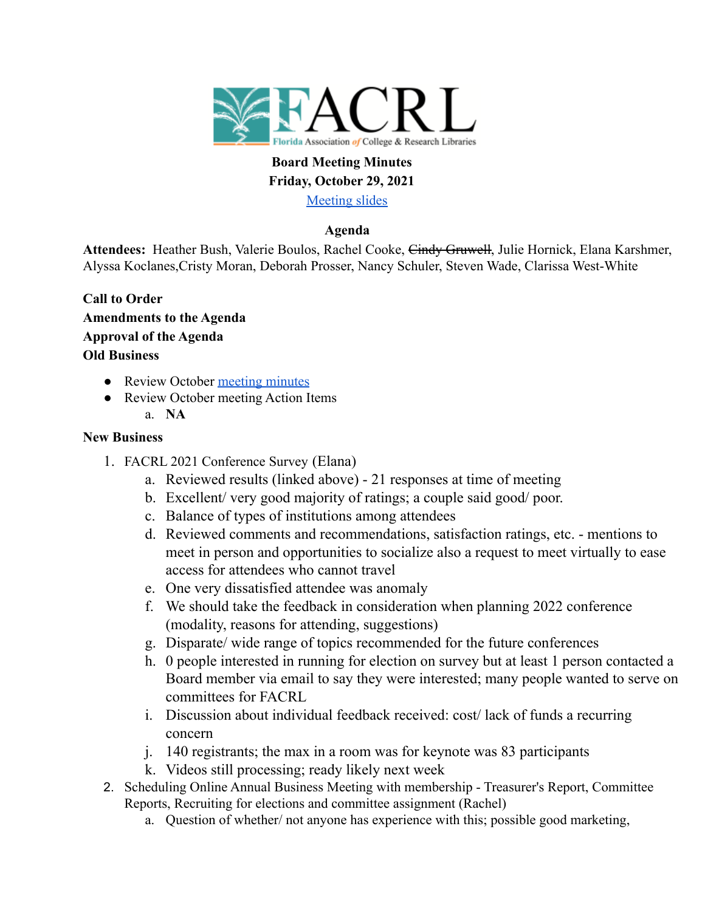

# **Board Meeting Minutes Friday, October 29, 2021**

[Meeting slides](https://docs.google.com/presentation/d/1-QyoPh34pvCtXlVGEuM73dM1YGgOMDsgFhD_uqWvFwo/edit?usp=sharing)

## **Agenda**

**Attendees:** Heather Bush, Valerie Boulos, Rachel Cooke, Cindy Gruwell, Julie Hornick, Elana Karshmer, Alyssa Koclanes,Cristy Moran, Deborah Prosser, Nancy Schuler, Steven Wade, Clarissa West-White

# **Call to Order Amendments to the Agenda Approval of the Agenda Old Business**

- Review October [meeting minutes](https://docs.google.com/document/d/1c24kZyFVE0Z2Hy7BlRqeRswbq5CcrNza8llM_lVM-IU/edit?usp=sharing)
- Review October meeting Action Items a. **NA**

## **New Business**

- 1. FACRL 2021 Conference Survey (Elana)
	- a. Reviewed results (linked above) 21 responses at time of meeting
	- b. Excellent/ very good majority of ratings; a couple said good/ poor.
	- c. Balance of types of institutions among attendees
	- d. Reviewed comments and recommendations, satisfaction ratings, etc. mentions to meet in person and opportunities to socialize also a request to meet virtually to ease access for attendees who cannot travel
	- e. One very dissatisfied attendee was anomaly
	- f. We should take the feedback in consideration when planning 2022 conference (modality, reasons for attending, suggestions)
	- g. Disparate/ wide range of topics recommended for the future conferences
	- h. 0 people interested in running for election on survey but at least 1 person contacted a Board member via email to say they were interested; many people wanted to serve on committees for FACRL
	- i. Discussion about individual feedback received: cost/ lack of funds a recurring concern
	- j. 140 registrants; the max in a room was for keynote was 83 participants
	- k. Videos still processing; ready likely next week
- 2. Scheduling Online Annual Business Meeting with membership Treasurer's Report, Committee Reports, Recruiting for elections and committee assignment (Rachel)
	- a. Question of whether/ not anyone has experience with this; possible good marketing,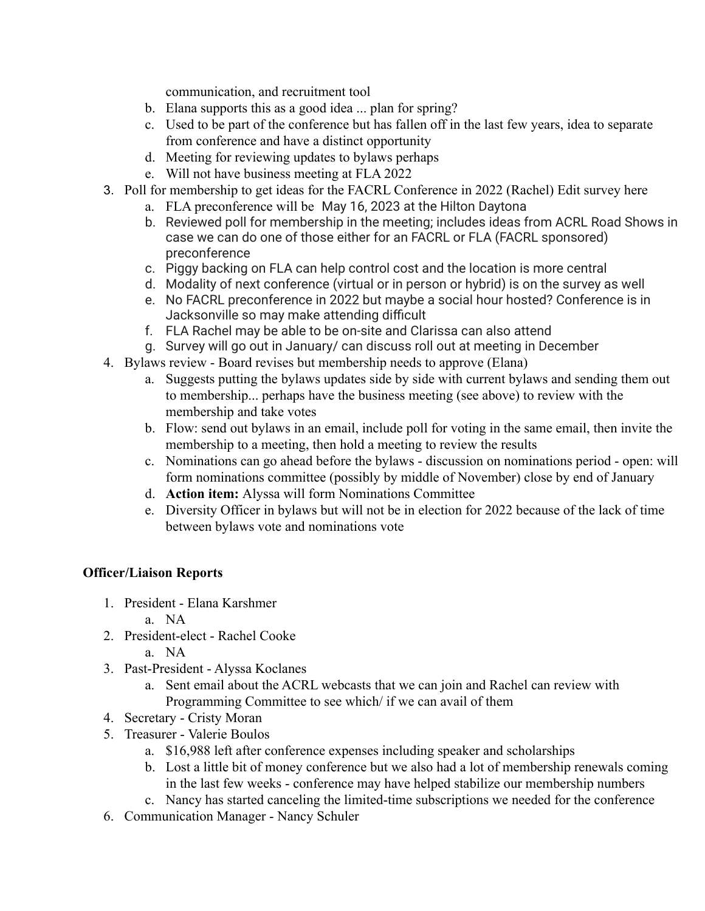communication, and recruitment tool

- b. Elana supports this as a good idea ... plan for spring?
- c. Used to be part of the conference but has fallen off in the last few years, idea to separate from conference and have a distinct opportunity
- d. Meeting for reviewing updates to bylaws perhaps
- e. Will not have business meeting at FLA 2022
- 3. Poll for membership to get ideas for the FACRL Conference in 2022 (Rachel) Edit survey here
	- a. FLA preconference will be May 16, 2023 at the Hilton Daytona
	- b. Reviewed poll for membership in the meeting; includes ideas from ACRL Road Shows in case we can do one of those either for an FACRL or FLA (FACRL sponsored) preconference
	- c. Piggy backing on FLA can help control cost and the location is more central
	- d. Modality of next conference (virtual or in person or hybrid) is on the survey as well
	- e. No FACRL preconference in 2022 but maybe a social hour hosted? Conference is in Jacksonville so may make attending difficult
	- f. FLA Rachel may be able to be on-site and Clarissa can also attend
	- g. Survey will go out in January/ can discuss roll out at meeting in December
- 4. Bylaws review Board revises but membership needs to approve (Elana)
	- a. Suggests putting the bylaws updates side by side with current bylaws and sending them out to membership... perhaps have the business meeting (see above) to review with the membership and take votes
	- b. Flow: send out bylaws in an email, include poll for voting in the same email, then invite the membership to a meeting, then hold a meeting to review the results
	- c. Nominations can go ahead before the bylaws discussion on nominations period open: will form nominations committee (possibly by middle of November) close by end of January
	- d. **Action item:** Alyssa will form Nominations Committee
	- e. Diversity Officer in bylaws but will not be in election for 2022 because of the lack of time between bylaws vote and nominations vote

## **Officer/Liaison Reports**

- 1. President Elana Karshmer
	- a. NA
- 2. President-elect Rachel Cooke
	- a. NA
- 3. Past-President Alyssa Koclanes
	- a. Sent email about the ACRL webcasts that we can join and Rachel can review with Programming Committee to see which/ if we can avail of them
- 4. Secretary Cristy Moran
- 5. Treasurer Valerie Boulos
	- a. \$16,988 left after conference expenses including speaker and scholarships
	- b. Lost a little bit of money conference but we also had a lot of membership renewals coming in the last few weeks - conference may have helped stabilize our membership numbers
	- c. Nancy has started canceling the limited-time subscriptions we needed for the conference
- 6. Communication Manager Nancy Schuler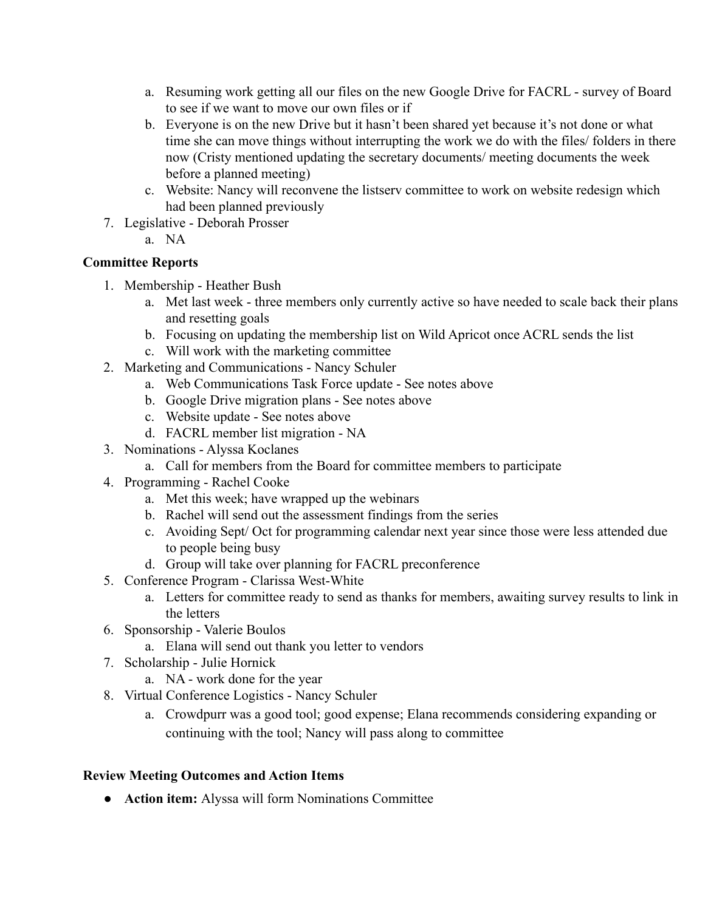- a. Resuming work getting all our files on the new Google Drive for FACRL survey of Board to see if we want to move our own files or if
- b. Everyone is on the new Drive but it hasn't been shared yet because it's not done or what time she can move things without interrupting the work we do with the files/ folders in there now (Cristy mentioned updating the secretary documents/ meeting documents the week before a planned meeting)
- c. Website: Nancy will reconvene the listserv committee to work on website redesign which had been planned previously
- 7. Legislative Deborah Prosser
	- a. NA

#### **Committee Reports**

- 1. Membership Heather Bush
	- a. Met last week three members only currently active so have needed to scale back their plans and resetting goals
	- b. Focusing on updating the membership list on Wild Apricot once ACRL sends the list
	- c. Will work with the marketing committee
- 2. Marketing and Communications Nancy Schuler
	- a. Web Communications Task Force update See notes above
	- b. Google Drive migration plans See notes above
	- c. Website update See notes above
	- d. FACRL member list migration NA
- 3. Nominations Alyssa Koclanes
	- a. Call for members from the Board for committee members to participate
- 4. Programming Rachel Cooke
	- a. Met this week; have wrapped up the webinars
	- b. Rachel will send out the assessment findings from the series
	- c. Avoiding Sept/ Oct for programming calendar next year since those were less attended due to people being busy
	- d. Group will take over planning for FACRL preconference
- 5. Conference Program Clarissa West-White
	- a. Letters for committee ready to send as thanks for members, awaiting survey results to link in the letters
- 6. Sponsorship Valerie Boulos
	- a. Elana will send out thank you letter to vendors
- 7. Scholarship Julie Hornick
	- a. NA work done for the year
- 8. Virtual Conference Logistics Nancy Schuler
	- a. Crowdpurr was a good tool; good expense; Elana recommends considering expanding or continuing with the tool; Nancy will pass along to committee

#### **Review Meeting Outcomes and Action Items**

● **Action item:** Alyssa will form Nominations Committee